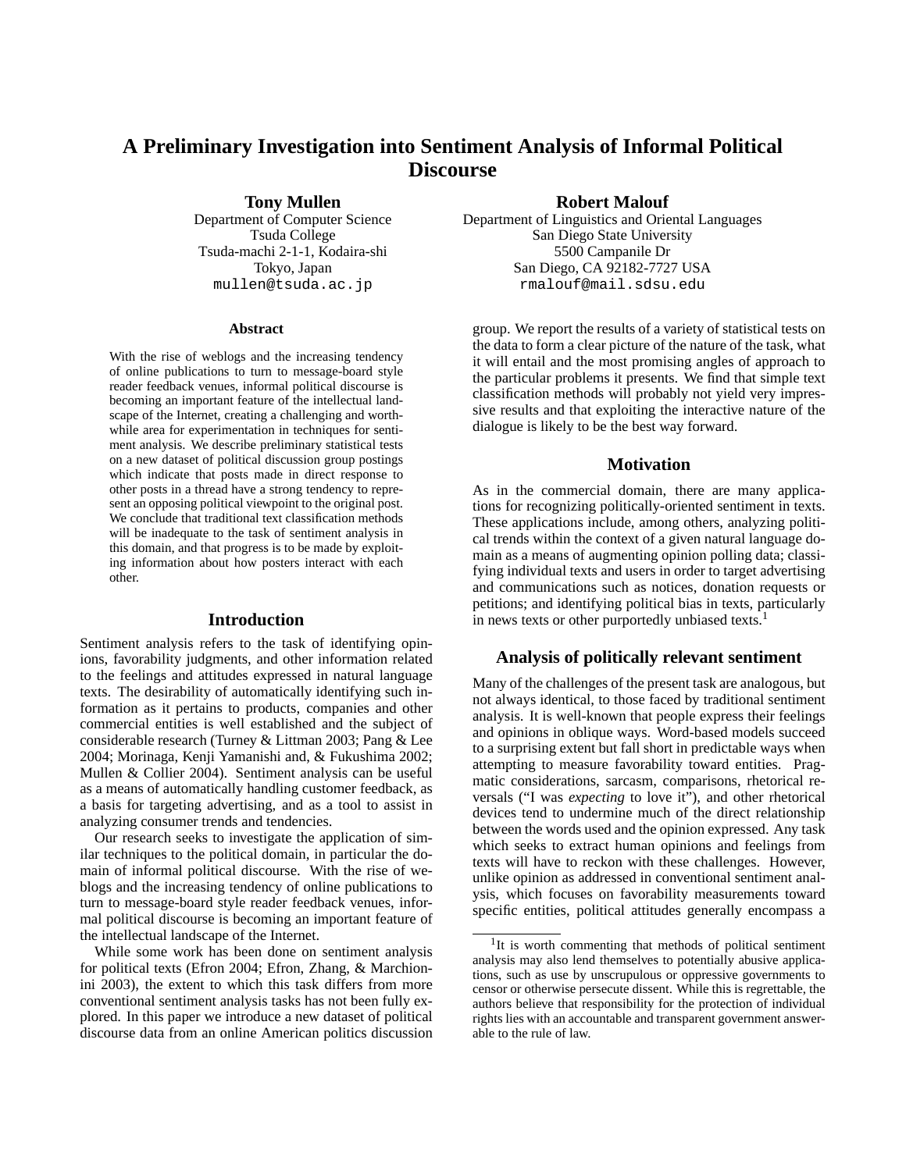# **A Preliminary Investigation into Sentiment Analysis of Informal Political Discourse**

**Tony Mullen**

Department of Computer Science Tsuda College Tsuda-machi 2-1-1, Kodaira-shi Tokyo, Japan mullen@tsuda.ac.jp

#### **Abstract**

With the rise of weblogs and the increasing tendency of online publications to turn to message-board style reader feedback venues, informal political discourse is becoming an important feature of the intellectual landscape of the Internet, creating a challenging and worthwhile area for experimentation in techniques for sentiment analysis. We describe preliminary statistical tests on a new dataset of political discussion group postings which indicate that posts made in direct response to other posts in a thread have a strong tendency to represent an opposing political viewpoint to the original post. We conclude that traditional text classification methods will be inadequate to the task of sentiment analysis in this domain, and that progress is to be made by exploiting information about how posters interact with each other.

#### **Introduction**

Sentiment analysis refers to the task of identifying opinions, favorability judgments, and other information related to the feelings and attitudes expressed in natural language texts. The desirability of automatically identifying such information as it pertains to products, companies and other commercial entities is well established and the subject of considerable research (Turney & Littman 2003; Pang & Lee 2004; Morinaga, Kenji Yamanishi and, & Fukushima 2002; Mullen & Collier 2004). Sentiment analysis can be useful as a means of automatically handling customer feedback, as a basis for targeting advertising, and as a tool to assist in analyzing consumer trends and tendencies.

Our research seeks to investigate the application of similar techniques to the political domain, in particular the domain of informal political discourse. With the rise of weblogs and the increasing tendency of online publications to turn to message-board style reader feedback venues, informal political discourse is becoming an important feature of the intellectual landscape of the Internet.

While some work has been done on sentiment analysis for political texts (Efron 2004; Efron, Zhang, & Marchionini 2003), the extent to which this task differs from more conventional sentiment analysis tasks has not been fully explored. In this paper we introduce a new dataset of political discourse data from an online American politics discussion

### **Robert Malouf**

Department of Linguistics and Oriental Languages San Diego State University 5500 Campanile Dr San Diego, CA 92182-7727 USA rmalouf@mail.sdsu.edu

group. We report the results of a variety of statistical tests on the data to form a clear picture of the nature of the task, what it will entail and the most promising angles of approach to the particular problems it presents. We find that simple text classification methods will probably not yield very impressive results and that exploiting the interactive nature of the dialogue is likely to be the best way forward.

### **Motivation**

As in the commercial domain, there are many applications for recognizing politically-oriented sentiment in texts. These applications include, among others, analyzing political trends within the context of a given natural language domain as a means of augmenting opinion polling data; classifying individual texts and users in order to target advertising and communications such as notices, donation requests or petitions; and identifying political bias in texts, particularly in news texts or other purportedly unbiased texts.<sup>1</sup>

## **Analysis of politically relevant sentiment**

Many of the challenges of the present task are analogous, but not always identical, to those faced by traditional sentiment analysis. It is well-known that people express their feelings and opinions in oblique ways. Word-based models succeed to a surprising extent but fall short in predictable ways when attempting to measure favorability toward entities. Pragmatic considerations, sarcasm, comparisons, rhetorical reversals ("I was *expecting* to love it"), and other rhetorical devices tend to undermine much of the direct relationship between the words used and the opinion expressed. Any task which seeks to extract human opinions and feelings from texts will have to reckon with these challenges. However, unlike opinion as addressed in conventional sentiment analysis, which focuses on favorability measurements toward specific entities, political attitudes generally encompass a

<sup>&</sup>lt;sup>1</sup>It is worth commenting that methods of political sentiment analysis may also lend themselves to potentially abusive applications, such as use by unscrupulous or oppressive governments to censor or otherwise persecute dissent. While this is regrettable, the authors believe that responsibility for the protection of individual rights lies with an accountable and transparent government answerable to the rule of law.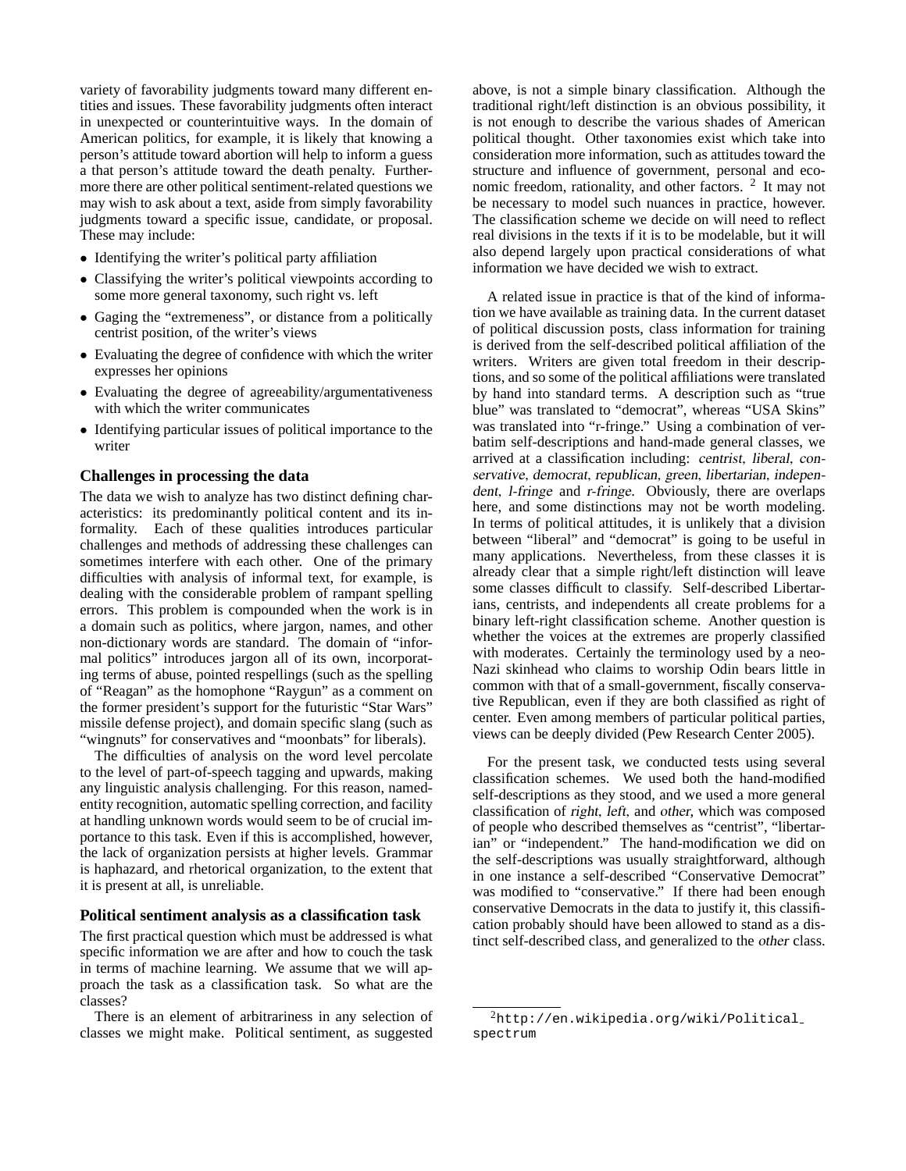variety of favorability judgments toward many different entities and issues. These favorability judgments often interact in unexpected or counterintuitive ways. In the domain of American politics, for example, it is likely that knowing a person's attitude toward abortion will help to inform a guess a that person's attitude toward the death penalty. Furthermore there are other political sentiment-related questions we may wish to ask about a text, aside from simply favorability judgments toward a specific issue, candidate, or proposal. These may include:

- Identifying the writer's political party affiliation
- Classifying the writer's political viewpoints according to some more general taxonomy, such right vs. left
- Gaging the "extremeness", or distance from a politically centrist position, of the writer's views
- Evaluating the degree of confidence with which the writer expresses her opinions
- Evaluating the degree of agreeability/argumentativeness with which the writer communicates
- Identifying particular issues of political importance to the writer

#### **Challenges in processing the data**

The data we wish to analyze has two distinct defining characteristics: its predominantly political content and its informality. Each of these qualities introduces particular challenges and methods of addressing these challenges can sometimes interfere with each other. One of the primary difficulties with analysis of informal text, for example, is dealing with the considerable problem of rampant spelling errors. This problem is compounded when the work is in a domain such as politics, where jargon, names, and other non-dictionary words are standard. The domain of "informal politics" introduces jargon all of its own, incorporating terms of abuse, pointed respellings (such as the spelling of "Reagan" as the homophone "Raygun" as a comment on the former president's support for the futuristic "Star Wars" missile defense project), and domain specific slang (such as "wingnuts" for conservatives and "moonbats" for liberals).

The difficulties of analysis on the word level percolate to the level of part-of-speech tagging and upwards, making any linguistic analysis challenging. For this reason, namedentity recognition, automatic spelling correction, and facility at handling unknown words would seem to be of crucial importance to this task. Even if this is accomplished, however, the lack of organization persists at higher levels. Grammar is haphazard, and rhetorical organization, to the extent that it is present at all, is unreliable.

#### **Political sentiment analysis as a classification task**

The first practical question which must be addressed is what specific information we are after and how to couch the task in terms of machine learning. We assume that we will approach the task as a classification task. So what are the classes?

There is an element of arbitrariness in any selection of classes we might make. Political sentiment, as suggested

above, is not a simple binary classification. Although the traditional right/left distinction is an obvious possibility, it is not enough to describe the various shades of American political thought. Other taxonomies exist which take into consideration more information, such as attitudes toward the structure and influence of government, personal and economic freedom, rationality, and other factors. <sup>2</sup> It may not be necessary to model such nuances in practice, however. The classification scheme we decide on will need to reflect real divisions in the texts if it is to be modelable, but it will also depend largely upon practical considerations of what information we have decided we wish to extract.

A related issue in practice is that of the kind of information we have available as training data. In the current dataset of political discussion posts, class information for training is derived from the self-described political affiliation of the writers. Writers are given total freedom in their descriptions, and so some of the political affiliations were translated by hand into standard terms. A description such as "true blue" was translated to "democrat", whereas "USA Skins" was translated into "r-fringe." Using a combination of verbatim self-descriptions and hand-made general classes, we arrived at a classification including: centrist, liberal, conservative, democrat, republican, green, libertarian, independent, l-fringe and r-fringe. Obviously, there are overlaps here, and some distinctions may not be worth modeling. In terms of political attitudes, it is unlikely that a division between "liberal" and "democrat" is going to be useful in many applications. Nevertheless, from these classes it is already clear that a simple right/left distinction will leave some classes difficult to classify. Self-described Libertarians, centrists, and independents all create problems for a binary left-right classification scheme. Another question is whether the voices at the extremes are properly classified with moderates. Certainly the terminology used by a neo-Nazi skinhead who claims to worship Odin bears little in common with that of a small-government, fiscally conservative Republican, even if they are both classified as right of center. Even among members of particular political parties, views can be deeply divided (Pew Research Center 2005).

For the present task, we conducted tests using several classification schemes. We used both the hand-modified self-descriptions as they stood, and we used a more general classification of right, left, and other, which was composed of people who described themselves as "centrist", "libertarian" or "independent." The hand-modification we did on the self-descriptions was usually straightforward, although in one instance a self-described "Conservative Democrat" was modified to "conservative." If there had been enough conservative Democrats in the data to justify it, this classification probably should have been allowed to stand as a distinct self-described class, and generalized to the other class.

<sup>2</sup>http://en.wikipedia.org/wiki/Political spectrum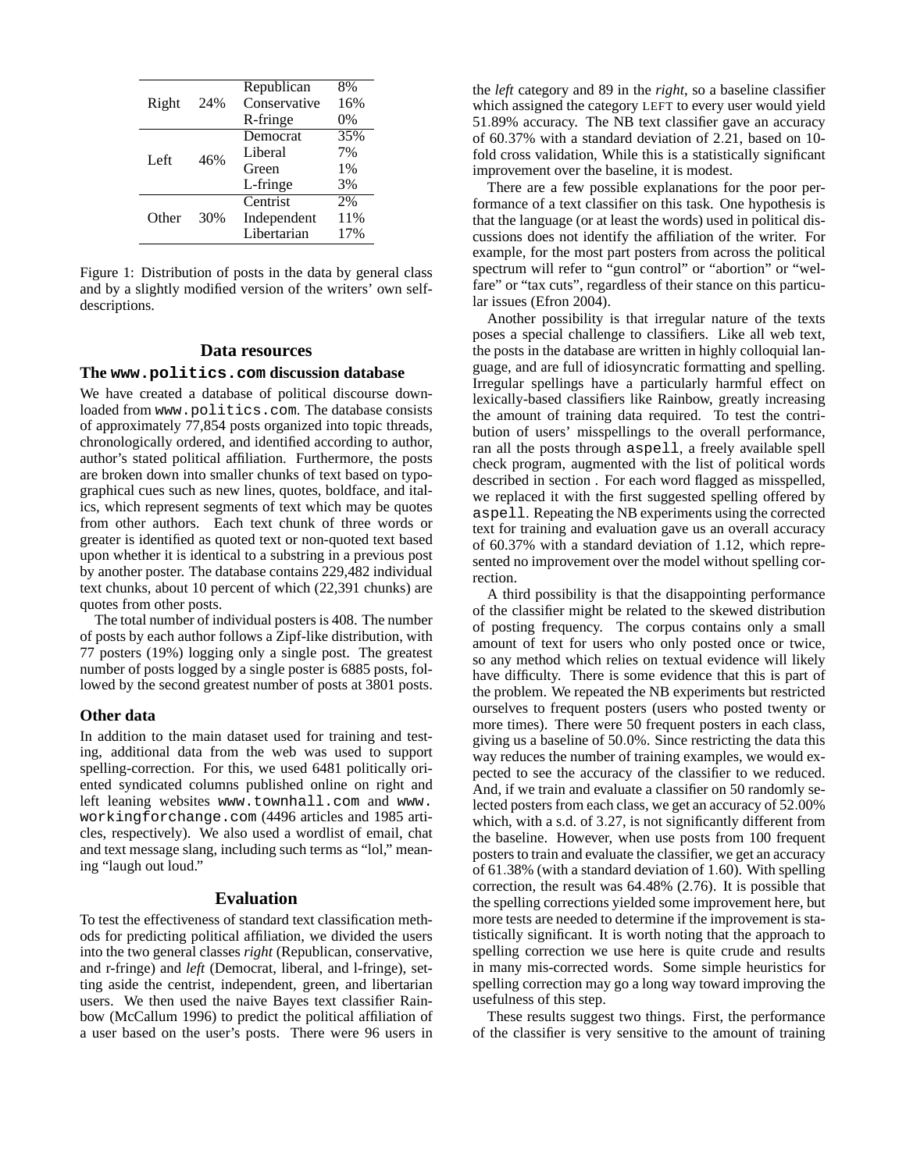| Right | 24% | Republican   | 8%  |
|-------|-----|--------------|-----|
|       |     | Conservative | 16% |
|       |     | R-fringe     | 0%  |
| Left  | 46% | Democrat     | 35% |
|       |     | Liberal      | 7%  |
|       |     | Green        | 1%  |
|       |     | L-fringe     | 3%  |
| Other | 30% | Centrist     | 2%  |
|       |     | Independent  | 11% |
|       |     | Libertarian  | 17% |
|       |     |              |     |

Figure 1: Distribution of posts in the data by general class and by a slightly modified version of the writers' own selfdescriptions.

#### **Data resources**

### **The www.politics.com discussion database**

We have created a database of political discourse downloaded from www.politics.com. The database consists of approximately 77,854 posts organized into topic threads, chronologically ordered, and identified according to author, author's stated political affiliation. Furthermore, the posts are broken down into smaller chunks of text based on typographical cues such as new lines, quotes, boldface, and italics, which represent segments of text which may be quotes from other authors. Each text chunk of three words or greater is identified as quoted text or non-quoted text based upon whether it is identical to a substring in a previous post by another poster. The database contains 229,482 individual text chunks, about 10 percent of which (22,391 chunks) are quotes from other posts.

The total number of individual posters is 408. The number of posts by each author follows a Zipf-like distribution, with 77 posters (19%) logging only a single post. The greatest number of posts logged by a single poster is 6885 posts, followed by the second greatest number of posts at 3801 posts.

## **Other data**

In addition to the main dataset used for training and testing, additional data from the web was used to support spelling-correction. For this, we used 6481 politically oriented syndicated columns published online on right and left leaning websites www.townhall.com and www. workingforchange.com (4496 articles and 1985 articles, respectively). We also used a wordlist of email, chat and text message slang, including such terms as "lol," meaning "laugh out loud."

#### **Evaluation**

To test the effectiveness of standard text classification methods for predicting political affiliation, we divided the users into the two general classes *right* (Republican, conservative, and r-fringe) and *left* (Democrat, liberal, and l-fringe), setting aside the centrist, independent, green, and libertarian users. We then used the naive Bayes text classifier Rainbow (McCallum 1996) to predict the political affiliation of a user based on the user's posts. There were 96 users in

the *left* category and 89 in the *right*, so a baseline classifier which assigned the category LEFT to every user would yield 51.89% accuracy. The NB text classifier gave an accuracy of 60.37% with a standard deviation of 2.21, based on 10 fold cross validation, While this is a statistically significant improvement over the baseline, it is modest.

There are a few possible explanations for the poor performance of a text classifier on this task. One hypothesis is that the language (or at least the words) used in political discussions does not identify the affiliation of the writer. For example, for the most part posters from across the political spectrum will refer to "gun control" or "abortion" or "welfare" or "tax cuts", regardless of their stance on this particular issues (Efron 2004).

Another possibility is that irregular nature of the texts poses a special challenge to classifiers. Like all web text, the posts in the database are written in highly colloquial language, and are full of idiosyncratic formatting and spelling. Irregular spellings have a particularly harmful effect on lexically-based classifiers like Rainbow, greatly increasing the amount of training data required. To test the contribution of users' misspellings to the overall performance, ran all the posts through aspell, a freely available spell check program, augmented with the list of political words described in section . For each word flagged as misspelled, we replaced it with the first suggested spelling offered by aspell. Repeating the NB experiments using the corrected text for training and evaluation gave us an overall accuracy of 60.37% with a standard deviation of 1.12, which represented no improvement over the model without spelling correction.

A third possibility is that the disappointing performance of the classifier might be related to the skewed distribution of posting frequency. The corpus contains only a small amount of text for users who only posted once or twice, so any method which relies on textual evidence will likely have difficulty. There is some evidence that this is part of the problem. We repeated the NB experiments but restricted ourselves to frequent posters (users who posted twenty or more times). There were 50 frequent posters in each class, giving us a baseline of 50.0%. Since restricting the data this way reduces the number of training examples, we would expected to see the accuracy of the classifier to we reduced. And, if we train and evaluate a classifier on 50 randomly selected posters from each class, we get an accuracy of 52.00% which, with a s.d. of 3.27, is not significantly different from the baseline. However, when use posts from 100 frequent posters to train and evaluate the classifier, we get an accuracy of 61.38% (with a standard deviation of 1.60). With spelling correction, the result was 64.48% (2.76). It is possible that the spelling corrections yielded some improvement here, but more tests are needed to determine if the improvement is statistically significant. It is worth noting that the approach to spelling correction we use here is quite crude and results in many mis-corrected words. Some simple heuristics for spelling correction may go a long way toward improving the usefulness of this step.

These results suggest two things. First, the performance of the classifier is very sensitive to the amount of training